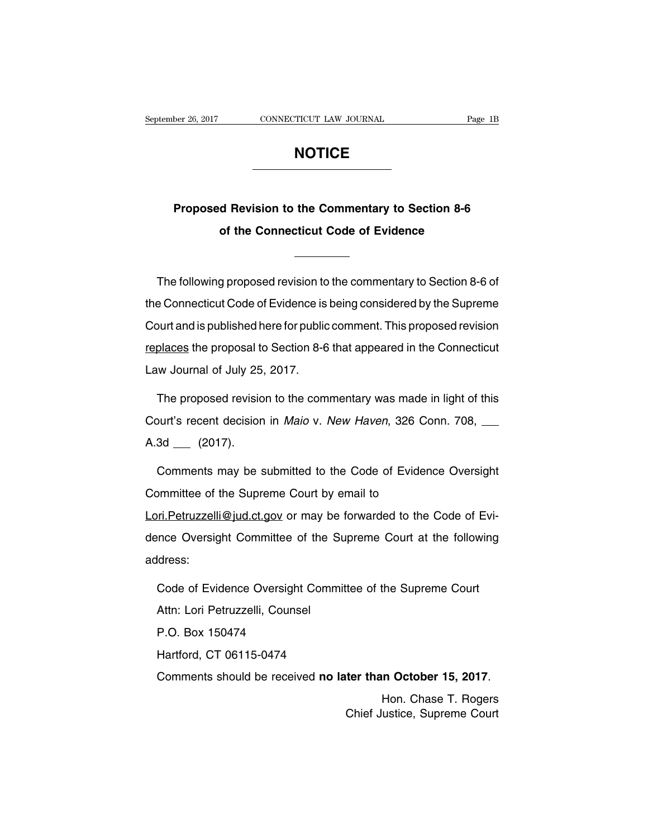# **NOTICE**

# **Proposed Revision to the Commentary to Section 8-6**<br>
of the Connecticut Code of Evidence **of the Connecticut Code of Evidence**<br> **of the Connecticut Code of Evidence**<br>
<u>connecticut</u> Code of Evidence

Proposed Revision to the Commentary to Section 8-6<br>
of the Connecticut Code of Evidence<br>
The following proposed revision to the commentary to Section 8-6 of<br>
Exponenticut Code of Evidence is being considered by the Supreme of the Connecticut Code of Evidence<br>
Internal connecticut Code revision to the commentary to Section 8-6 of<br>
the Connecticut Code of Evidence is being considered by the Supreme<br>
Court and is published here for public comme The following proposed revision to the commentary to Section 8-6 of<br>the Connecticut Code of Evidence is being considered by the Supreme<br>Court and is published here for public comment. This proposed revision<br>replaces the pr The following proposed revision to the commentary to Section 8-6 of<br>the Connecticut Code of Evidence is being considered by the Supreme<br>Court and is published here for public comment. This proposed revision<br>replaces the pr The following proposed revision to the commentary to Section 8-6 of<br>the Connecticut Code of Evidence is being considered by the Supreme<br>Court and is published here for public comment. This proposed revision<br>replaces the pr burt and is published here for public comment. This proposed revision<br>places the proposal to Section 8-6 that appeared in the Connecticut<br>w Journal of July 25, 2017.<br>The proposed revision to the commentary was made in ligh

replaces the proposal to Section 8-6 that appeared in the Connecticut<br>Law Journal of July 25, 2017.<br>The proposed revision to the commentary was made in light of this<br>Court's recent decision in *Maio* v. New Haven, 326 Conn Law Journal of July 25<br>The proposed revisio<br>Court's recent decision<br>A.3d \_\_\_ (2017). Comments may be submitted to the Code of Evidence Oversight

Court's recent decision in *Maio* v. New Haven, 326 Cor<br>A.3d <sub>—</sub> (2017).<br>Comments may be submitted to the Code of Evidenc<br>Committee of the Supreme Court by email to<br>Lori.Petruzzelli@jud.ct.gov or may be forwarded to the O A.3d <sub>—</sub> (2017).<br>Comments may be submitted to the Code of Evidence Oversight<br>Committee of the Supreme Court by email to<br>Lori.Petruzzelli@jud.ct.gov or may be forwarded to the Code of Evi-<br>dence Oversight Committee of the S Comments may be submitted to the Code of Evidence Oversight<br>Committee of the Supreme Court by email to<br>Lori.Petruzzelli@jud.ct.gov or may be forwarded to the Code of Evi-<br>dence Oversight Committee of the Supreme Court at t ri.Petruzzelli@jud.ct.gov or may be forwarded to the Code of Evi-<br>nce Oversight Committee of the Supreme Court at the following<br>Idress:<br>Code of Evidence Oversight Committee of the Supreme Court<br>Attn: Lori Petruzzelli, Coun

address:

nce Oversight Committee of the<br>Idress:<br>Code of Evidence Oversight Comr<br>Attn: Lori Petruzzelli, Counsel<br>P.O. Box 150474 ldress:<br>Code of Evidence Oversight<br>Attn: Lori Petruzzelli, Counse<br>P.O. Box 150474<br>Hartford, CT 06115-0474 Code of Evidence Oversight Commit<br>Attn: Lori Petruzzelli, Counsel<br>P.O. Box 150474<br>Hartford, CT 06115-0474<br>Comments should be received **no la** P.O. Box 150474<br>
Hartford, CT 06115-0474<br>
Comments should be received **no later than October 15, 2017**.<br>
Hon. Chase T. Rogers<br>
Chief Justice, Supreme Court ter than October 15, 2017.<br>Hon. Chase T. Rogers<br>Chief Justice, Supreme Court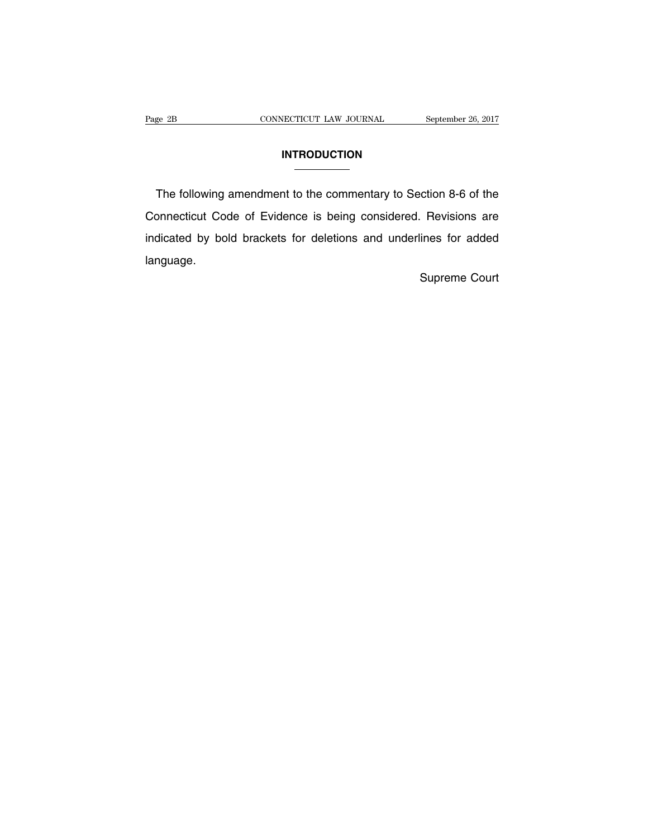# **INTRODUCTION**

Page 2B CONNECTICUT LAW JOURNAL September 26, 2017<br>
INTRODUCTION<br>
The following amendment to the commentary to Section 8-6 of the INTRODUCTION<br>
The following amendment to the commentary to Section 8-6 of the<br>
Connecticut Code of Evidence is being considered. Revisions are<br>
indicated by bold brackets for deletions and underlines for added INTRODUCTION<br>
The following amendment to the commentary to Section 8-6 of the<br>
Connecticut Code of Evidence is being considered. Revisions are<br>
indicated by bold brackets for deletions and underlines for added<br>
language. language. ction 8-6 of the<br>Revisions are<br>lines for added<br>Supreme Court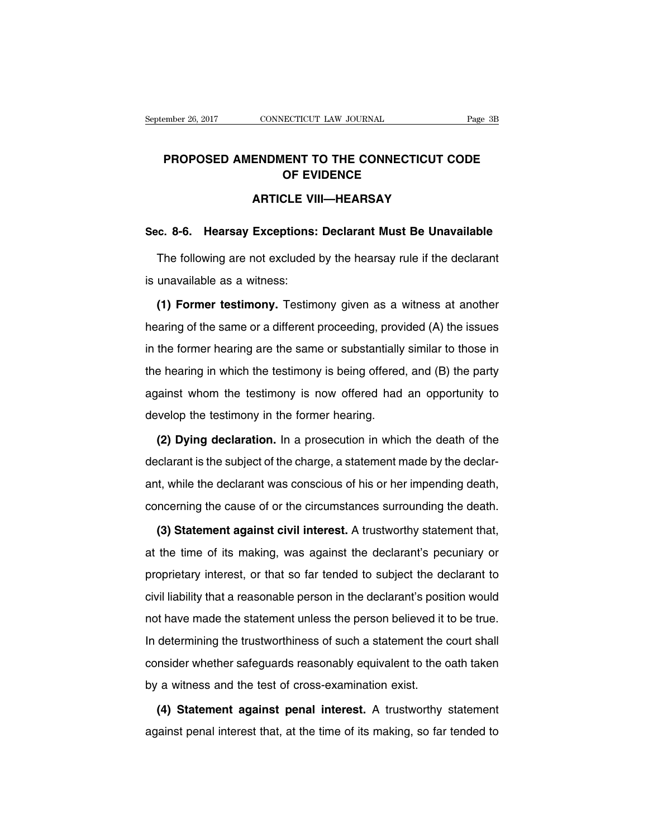# PROPOSED AMENDMENT TO THE CONNECTICUT CODE<br>
OF EVIDENCE **ECTICUT LAW JOURNAL<br>IENT TO THE CONNECTICU<br>OF EVIDENCE<br>CLE VIII—HEARSAY CONNECTICUT LAW JOURNAL<br>
ENDMENT TO THE CONNECTICUT CO<br>
OF EVIDENCE<br>
ARTICLE VIII—HEARSAY<br>
F (ARTICLE VIII—HEARSAY) PROPOSED AMENDMENT TO THE CONNECTICUT CODE<br>
OF EVIDENCE<br>
ARTICLE VIII—HEARSAY<br>
Sec. 8-6. Hearsay Exceptions: Declarant Must Be Unavailable<br>
The following are not excluded by the hearsay rule if the declarant**

OF EVIDENCE<br>ARTICLE VIII—HEARSAY<br>c. 8-6. Hearsay Exceptions: Declarant Must Be Unavailable<br>The following are not excluded by the hearsay rule if the declarant<br>unavailable as a witness: ARTICLE VIII—HEARSAY<br>Sec. 8-6. Hearsay Exceptions: Declarant Must Be Unavailable<br>The following are not excluded by the hearsay rule if the declarant<br>is unavailable as a witness:<br>(1) Former testimony. Testimony given as a w

**(2) Former testimony: The following are not excluded by the hearsay rule if the declarant<br>unavailable as a witness:<br>(1) Former testimony. Testimony given as a witness at another<br>aring of the same or a different proceeding** The following are not excluded by the hearsay rule if the declarant<br>is unavailable as a witness:<br>(1) Former testimony. Testimony given as a witness at another<br>hearing of the same or a different proceeding, provided (A) the is unavailable as a witness:<br>
(1) Former testimony. Testimony given as a witness at another<br>
hearing of the same or a different proceeding, provided (A) the issues<br>
in the former hearing are the same or substantially simil (1) Former testimony. Testimony given as a witness at another hearing of the same or a different proceeding, provided (A) the issues in the former hearing are the same or substantially similar to those in the hearing in wh hearing of the same or a different proceeding, provided (A) the issues<br>in the former hearing are the same or substantially similar to those in<br>the hearing in which the testimony is being offered, and (B) the party<br>against In the former hearing are the same or substantially<br>the hearing in which the testimony is being offered<br>against whom the testimony is now offered had<br>develop the testimony in the former hearing.<br>(2) Dying declaration. In a External probable between the test imony is being offered, and (B) the party<br>
(2) Dying the test imony in the former hearing.<br>
(2) Dying declaration. In a prosecution in which the death of the<br>
clarant is the subject of th

develop the testimony is now offered had an opportunity to<br>develop the testimony in the former hearing.<br>(2) Dying declaration. In a prosecution in which the death of the<br>declarant is the subject of the charge, a statement develop the testimony in the former hearing.<br>
(2) Dying declaration. In a prosecution in which the death of the<br>
declarant is the subject of the charge, a statement made by the declar-<br>
ant, while the declarant was conscio (2) Dying declaration. In a prosecution in which the death of the declarant is the subject of the charge, a statement made by the declarant, while the declarant was conscious of his or her impending death, concerning the c **Example 2018**<br>
(clarant is the subject of the charge, a statement made by the declar-<br>
it, while the declarant was conscious of his or her impending death,<br> **(3) Statement against civil interest.** A trustworthy statement

ant, while the declarant was conscious of his or her impending death,<br>concerning the cause of or the circumstances surrounding the death.<br>(3) Statement against civil interest. A trustworthy statement that,<br>at the time of i concerning the cause of or the circumstances surrounding the death.<br>
(3) Statement against civil interest. A trustworthy statement that,<br>
at the time of its making, was against the declarant's pecuniary or<br>
proprietary int (3) Statement against civil interest. A trustworthy statement that, at the time of its making, was against the declarant's pecuniary or proprietary interest, or that so far tended to subject the declarant to civil liabilit at the time of its making, was against the declarant's pecuniary or<br>proprietary interest, or that so far tended to subject the declarant to<br>civil liability that a reasonable person in the declarant's position would<br>not hav proprietary interest, or that so far tended to subject the declarant to<br>civil liability that a reasonable person in the declarant's position would<br>not have made the statement unless the person believed it to be true.<br>In de propriodary interest, or that so far tended to subject the declarant to<br>civil liability that a reasonable person in the declarant's position would<br>not have made the statement unless the person believed it to be true.<br>In de by a with the test of cross-tanding below the test of cross-examination exist.<br>In determining the trustworthiness of such a statement the consider whether safeguards reasonably equivalent to the d<br>by a witness and the test determining the trustworthiness of such a statement the court shall<br>nsider whether safeguards reasonably equivalent to the oath taken<br>a witness and the test of cross-examination exist.<br>(4) Statement against penal interest. consider whether safeguards reasonably equivalent to the oath taken<br>by a witness and the test of cross-examination exist.<br>(4) Statement against penal interest. A trustworthy statement<br>against penal interest that, at the ti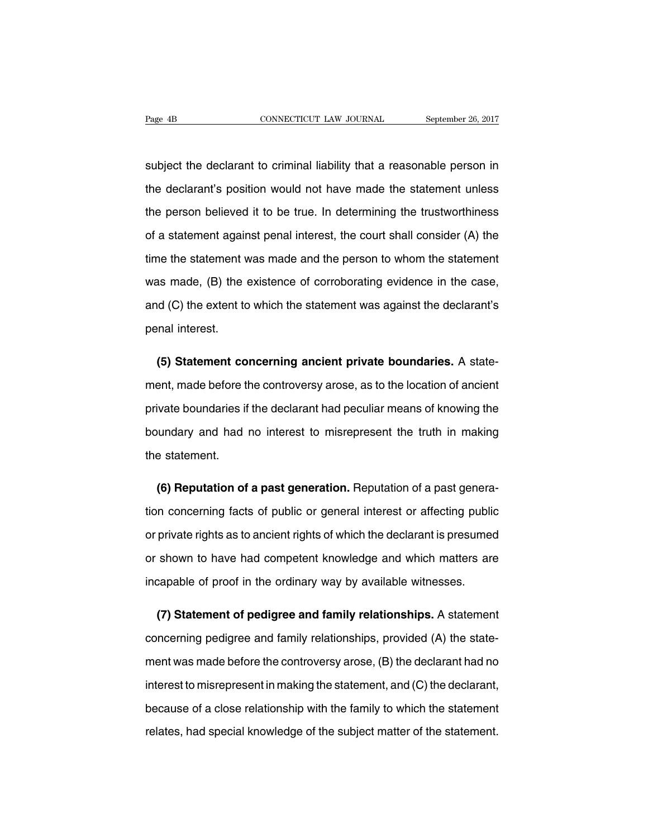Fage 4B<br>
Subject the declarant to criminal liability that a reasonable person in<br>
the declarant's position would not have made the statement unless Fage 4B<br>
subject the declarant to criminal liability that a reasonable person in<br>
the declarant's position would not have made the statement unless<br>
the person believed it to be true. In determining the trustworthiness subject the declarant to criminal liability that a reasonable person in<br>the declarant's position would not have made the statement unless<br>the person believed it to be true. In determining the trustworthiness<br>of a statement subject the declarant to criminal liability that a reasonable person in<br>the declarant's position would not have made the statement unless<br>the person believed it to be true. In determining the trustworthiness<br>of a statement the declarant's position would not have made the statement unless<br>the person believed it to be true. In determining the trustworthiness<br>of a statement against penal interest, the court shall consider (A) the<br>time the state the person believed it to be true. In determining the trustworthiness<br>of a statement against penal interest, the court shall consider (A) the<br>time the statement was made and the person to whom the statement<br>was made, (B) t of a statement against penal interest, the court shall consider (A) the time the statement was made and the person to whom the statement was made, (B) the existence of corroborating evidence in the case, and (C) the extent time the statement v<br>was made, (B) the<br>and (C) the extent to<br>penal interest. It is made, (B) the existence of corroborating evidence in the case,<br>
d (C) the extent to which the statement was against the declarant's<br>
rnal interest.<br> **(5) Statement concerning ancient private boundaries.** A state-<br>
en

and (C) the extent to which the statement was against the declarant's<br>penal interest.<br>(5) Statement concerning ancient private boundaries. A state-<br>ment, made before the controversy arose, as to the location of ancient<br>pri penal interest.<br>
(5) Statement concerning ancient private boundaries. A state-<br>
ment, made before the controversy arose, as to the location of ancient<br>
private boundaries if the declarant had peculiar means of knowing the<br> (5) Statement concerning ancient private boundaries. A statement, made before the controversy arose, as to the location of ancient private boundaries if the declarant had peculiar means of knowing the boundary and had no i ment, made before the<br>private boundaries if<br>boundary and had<br>the statement. Fivate boundaries if the declarant had peculiar means of knowing the<br>
undary and had no interest to misrepresent the truth in making<br> **(6) Reputation of a past generation.** Reputation of a past genera-<br>
in concerning facts

the statement.<br> **(6) Reputation of a past generation.** Reputation of a past genera-<br>
tion concerning facts of public or general interest or affecting public<br>
or private rights as to ancient rights of which the declarant is the statement.<br> **(6) Reputation of a past generation.** Reputation of a past generation concerning facts of public or general interest or affecting public<br>
or private rights as to ancient rights of which the declarant is pr (6) Reputation of a past generation. Reputation of a past generation concerning facts of public or general interest or affecting public or private rights as to ancient rights of which the declarant is presumed or shown to tion concerning facts of public or general interest or affecting public<br>or private rights as to ancient rights of which the declarant is presume<br>or shown to have had competent knowledge and which matters are<br>incapable of p private rights as to ancient rights of which the declarant is presumed<br>shown to have had competent knowledge and which matters are<br>capable of proof in the ordinary way by available witnesses.<br>(7) Statement of pedigree and

or shown to have had competent knowledge and which matters are<br>incapable of proof in the ordinary way by available witnesses.<br>(7) Statement of pedigree and family relationships. A statement<br>concerning pedigree and family r incapable of proof in the ordinary way by available witnesses.<br>
(7) Statement of pedigree and family relationships. A statement<br>
concerning pedigree and family relationships, provided (A) the state-<br>
ment was made before t (7) Statement of pedigree and family relationships. A statement concerning pedigree and family relationships, provided (A) the statement was made before the controversy arose, (B) the declarant had no interest to misrepre concerning pedigree and family relationships, provided (A) the state-<br>ment was made before the controversy arose, (B) the declarant had no<br>interest to misrepresent in making the statement, and (C) the declarant,<br>because of ment was made before the controversy arose, (B) the declarant had no<br>interest to misrepresent in making the statement, and (C) the declarant,<br>because of a close relationship with the family to which the statement<br>relates,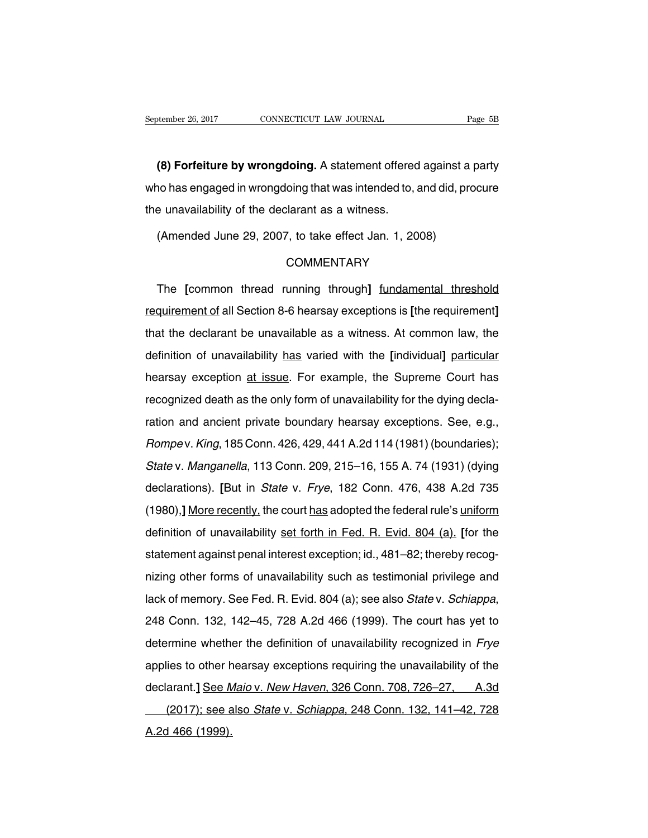<sup>thember 26, 2017 CONNECTICUT LAW JOURNAL Page 5B<br> **(8) Forfeiture by wrongdoing.** A statement offered against a party<br>
No has engaged in wrongdoing that was intended to, and did, procure</sup> September 26, 2017 CONNECTICUT LAW JOURNAL Page 5B<br> **(8) Forfeiture by wrongdoing.** A statement offered against a party<br>
who has engaged in wrongdoing that was intended to, and did, procure<br>
the unavailability of the decla (8) Forfeiture by wrongdoing. A statement offered<br>who has engaged in wrongdoing that was intended to,<br>the unavailability of the declarant as a witness.<br>(Amended June 29, 2007, to take effect Jan. 1, 20 (8) Forfeiture by wrongdoing. A statement offered against a<br>no has engaged in wrongdoing that was intended to, and did, pre<br>e unavailability of the declarant as a witness.<br>(Amended June 29, 2007, to take effect Jan. 1, 200

## **COMMENTARY**

e unavailability of the declarant as a witness.<br>
(Amended June 29, 2007, to take effect Jan. 1, 2008)<br>
COMMENTARY<br>
The [common thread running through] <u>fundamental threshold</u><br>
quirement of all Section 8-6 hearsay exception (Amended June 29, 2007, to take effect Jan. 1, 2008)<br>
COMMENTARY<br>
The [common thread running through] <u>fundamental threshold</u><br>
requirement of all Section 8-6 hearsay exceptions is [the requirement]<br>
that the declarant be u COMMENTARY<br>The [common thread running through] fundamental threshold<br>requirement of all Section 8-6 hearsay exceptions is [the requirement]<br>that the declarant be unavailable as a witness. At common law, the<br>definition of u The [common thread running through] <u>fundamental threshold</u><br>requirement of all Section 8-6 hearsay exceptions is [the requirement]<br>that the declarant be unavailable as a witness. At common law, the<br>definition of unavailabi requirement of all Section 8-6 hearsay exceptions is [the requirement]<br>that the declarant be unavailable as a witness. At common law, the<br>definition of unavailability has varied with the [individual] particular<br>hearsay exc requirement of an economic or nearedy exceptions is the requirement,<br>that the declarant be unavailabile as a witness. At common law, the<br>definition of unavailability has varied with the [individual] particular<br>hearsay exce ration of unavailability has varied with the [individual] particular<br>hearsay exception at issue. For example, the Supreme Court has<br>recognized death as the only form of unavailability for the dying decla-<br>ration and ancien Rearsay exception at issue. For example, the Supreme Court has<br>recognized death as the only form of unavailability for the dying decla-<br>ration and ancient private boundary hearsay exceptions. See, e.g.,<br>Rompev. King, 185 C recognized death as the only form of unavailability for the dying decla-<br>ration and ancient private boundary hearsay exceptions. See, e.g.,<br>Rompev. King, 185 Conn. 426, 429, 441 A.2d 114 (1981) (boundaries);<br>State v. Manga ration and ancient private boundary hearsay exceptions. See, e.g.,<br> *Rompev. King*, 185 Conn. 426, 429, 441 A.2d 114 (1981) (boundaries);<br> *State v. Manganella*, 113 Conn. 209, 215–16, 155 A. 74 (1931) (dying<br>
declarations Rompev. King, 185 Conn. 426, 429, 441 A.2d 114 (1981) (boundaries);<br>
State v. Manganella, 113 Conn. 209, 215–16, 155 A. 74 (1931) (dying<br>
declarations). [But in *State v. Frye*, 182 Conn. 476, 438 A.2d 735<br>
(1980),] <u>More </u> declarations). [But in *State v. Frye, 182*, 1177.28 111(1551) (boundance), State v. *Manganella, 113 Conn. 209, 215*–16, 155 A. 74 (1931) (dying declarations). [But in *State v. Frye, 182 Conn. 476, 438 A.2d 735* (1980),] State v. Manganella, 113 Conn. 209, 215–16, 155 A. 74 (1931) (dying declarations). [But in State v. Frye, 182 Conn. 476, 438 A.2d 735 (1980),] More recently, the court has adopted the federal rule's uniform definition of u (1980),] More recently, the court has adopted the federal rule's uniform<br>definition of unavailability <u>set forth in Fed. R. Evid. 804 (a)</u>. [for the<br>statement against penal interest exception; id., 481–82; thereby recog-<br> definition of unavailability set forth in Fed. R. Evid. 804 (a). [for the statement against penal interest exception; id., 481–82; thereby recognizing other forms of unavailability such as testimonial privilege and lack of diatomont again of ponarintered exception, i.e., i.e. i.e., increasy recesy<br>nizing other forms of unavailability such as testimonial privilege and<br>lack of memory. See Fed. R. Evid. 804 (a); see also *State* v. *Schiappa*,<br> lack of memory. See Fed. R. Evid. 804 (a); see also *State* v. *Schiappa*,<br>248 Conn. 132, 142–45, 728 A.2d 466 (1999). The court has yet to<br>determine whether the definition of unavailability recognized in *Frye*<br>applies to declarant. 132, 142–45, 728 A.2d 466 (1999). The court has yet to<br>determine whether the definition of unavailability recognized in *Frye*<br>applies to other hearsay exceptions requiring the unavailability of the<br>declarant.] Figure 1.2. The 1.5, 1.2 Term in the start intervalse of the start intervalse of the strain whether the definition of unavailability recognized in *Frye* lies to other hearsay exceptions requiring the unavailability of th applies to other h<br>applies to other h<br>declarant.] See A<br>(2017); see a<br>A.2d 466 (1999).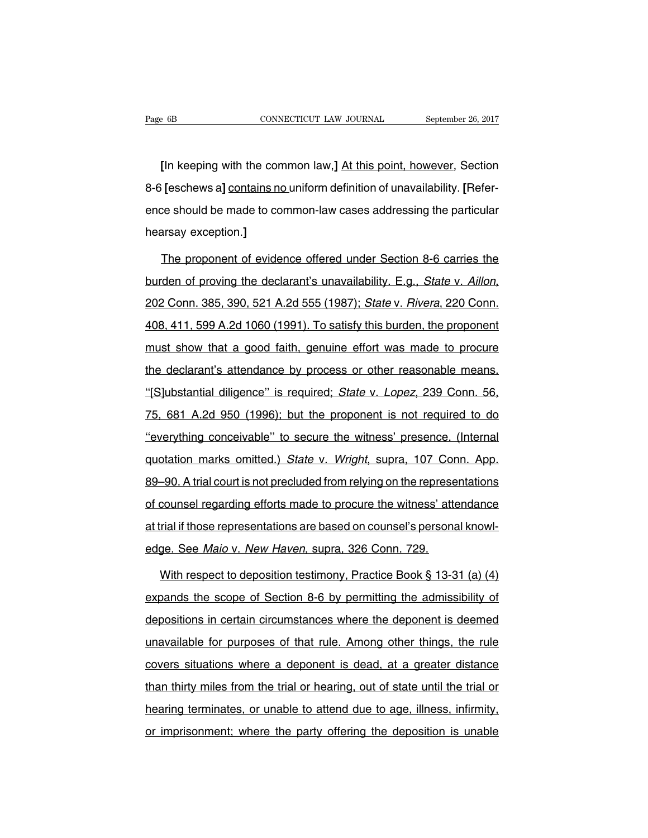<sup>2</sup> 6B<br> **EXECUTE CONNECTICUT LAW JOURNAL**<br> **EXECUTE:**<br> **EXECUTE:**<br> **EXECUTE:**<br> **EXECUTE:**<br> **EXECUTE:**<br> **EXECUTE:**<br> **EXECUTE:**<br> **EXECUTE:**<br> **EXECUTE:**<br> **EXECUTE:**<br> **EXECUTE:**<br> **EXECUTE:**<br> **EXECUTE:**<br> **EXECUTE:**<br> **EXECUTE:**<br> Eage 6B<br> **EXECUTE CONNECTICUT LAW JOURNAL** September 26, 2017<br> **EXECUTE:** CONNECTICUT LAW JOURNAL September 26, 2017<br> **EXECUTE:** Section<br>
8-6 [eschews a] <u>contains no uniform definition of unavailability. [Refer-<br>
ence sho</u> [In keeping with the common law,] At this point, however, Section<br>8-6 [eschews a] contains no uniform definition of unavailability. [Refer-<br>ence should be made to common-law cases addressing the particular<br>hearsay exceptio [In keeping with the cor<br>8-6 [eschews a] contains ne<br>ence should be made to co<br>hearsay exception.]<br>The proponent of evide Feschews a] contains no uniform definition of unavailability. [Refer-<br>ce should be made to common-law cases addressing the particular<br>arsay exception.]<br>The proponent of evidence offered under Section 8-6 carries the<br>den of

ence should be made to common-law cases addressing the particular<br>hearsay exception.]<br>The proponent of evidence offered under Section 8-6 carries the<br>burden of proving the declarant's unavailability. E.g., *State v. Aillon* The proponent of evidence offered under Section 8-6 carries the<br>burden of proving the declarant's unavailability. E.g., *State v. Aillon*,<br>202 Conn. 385, 390, 521 A.2d 555 (1987); *State v. Rivera*, 220 Conn.<br>408, 411, 599 must proponent of ontesting ontrod and receiver of stating that burden of proving the declarant's unavailability. E.g., *State v. Aillon*, 202 Conn. 385, 390, 521 A.2d 555 (1987); *State v. Rivera*, 220 Conn. 408, 411, 599 202 Conn. 385, 390, 521 A.2d 555 (1987); *State v. Rivera*, 220 Conn.<br>408, 411, 599 A.2d 1060 (1991). To satisfy this burden, the proponent<br>must show that a good faith, genuine effort was made to procure<br>the declarant's at 108, 411, 599 A.2d 1060 (1991). To satisfy this burden, the proponent<br>
must show that a good faith, genuine effort was made to procure<br>
the declarant's attendance by process or other reasonable means.<br>
"[S]ubstantial dilig must show that a good faith, genuine effort was made to procure<br>the declarant's attendance by process or other reasonable means.<br>"[S]ubstantial diligence" is required; *State v. Lopez*, 239 Conn. 56,<br>75, 681 A.2d 950 (1996 the declarant's attendance by process or other reasonable means.<br>
"[S]ubstantial diligence" is required; *State v. Lopez*, 239 Conn. 56,<br>
75, 681 A.2d 950 (1996); but the proponent is not required to do<br>
"everything concei "[S]ubstantial diligence" is required; *State v. Lopez*, 239 Conn. 56,<br>75, 681 A.2d 950 (1996); but the proponent is not required to do<br>"everything conceivable" to secure the witness' presence. (Internal<br>quotation marks om 75, 681 A.2d 950 (1996); but the proponent is not required to do<br>"everything conceivable" to secure the witness' presence. (Internal<br>quotation marks omitted.) *State v. Wright*, supra, 107 Conn. App.<br>89–90. A trial court i "everything conceivable" to secure the witness' presence. (Internal quotation marks omitted.) State v. Wright, supra, 107 Conn. App.<br>89–90. A trial court is not precluded from relying on the representations of counsel rega "everything conceivable" to secure the witness' presence. (Internal quotation marks omitted.) State v. Wright, supra, 107 Conn. App.<br>89–90. A trial court is not precluded from relying on the representations of counsel rega edge. At trial court is not precluded from relying on the represe<br>of counsel regarding efforts made to procure the witness' atte<br>at trial if those representations are based on counsel's persona<br>edge. See Maio v. New Haven, counsel regarding efforts made to procure the witness' attendance<br>rial if those representations are based on counsel's personal knowl-<br>ge. See *Maio v. New Haven*, supra, 326 Conn. 729.<br>With respect to deposition testimony

at trial if those representations are based on counsel's personal knowledge. See *Maio v. New Haven*, supra, 326 Conn. 729.<br>With respect to deposition testimony, Practice Book § 13-31 (a) (4)<br>expands the scope of Section 8 edge. See Maio v. New Haven, supra, 326 Conn. 729.<br>With respect to deposition testimony, Practice Book § 13-31 (a) (4)<br>expands the scope of Section 8-6 by permitting the admissibility of<br>depositions in certain circumstance With respect to deposition testimony, Practice Book § 13-31 (a) (4)<br>expands the scope of Section 8-6 by permitting the admissibility of<br>depositions in certain circumstances where the deponent is deemed<br>unavailable for purp expands the scope of Section 8-6 by permitting the admissibility of depositions in certain circumstances where the deponent is deemed unavailable for purposes of that rule. Among other things, the rule covers situations w depositions in certain circumstances where the deponent is deemed<br>unavailable for purposes of that rule. Among other things, the rule<br>covers situations where a deponent is dead, at a greater distance<br>than thirty miles from depositions in certain circumstances where the deponent is deemed<br>unavailable for purposes of that rule. Among other things, the rule<br>covers situations where a deponent is dead, at a greater distance<br>than thirty miles from covers situations where a deponent is dead, at a greater distance<br>than thirty miles from the trial or hearing, out of state until the trial or<br>hearing terminates, or unable to attend due to age, illness, infirmity,<br>or impr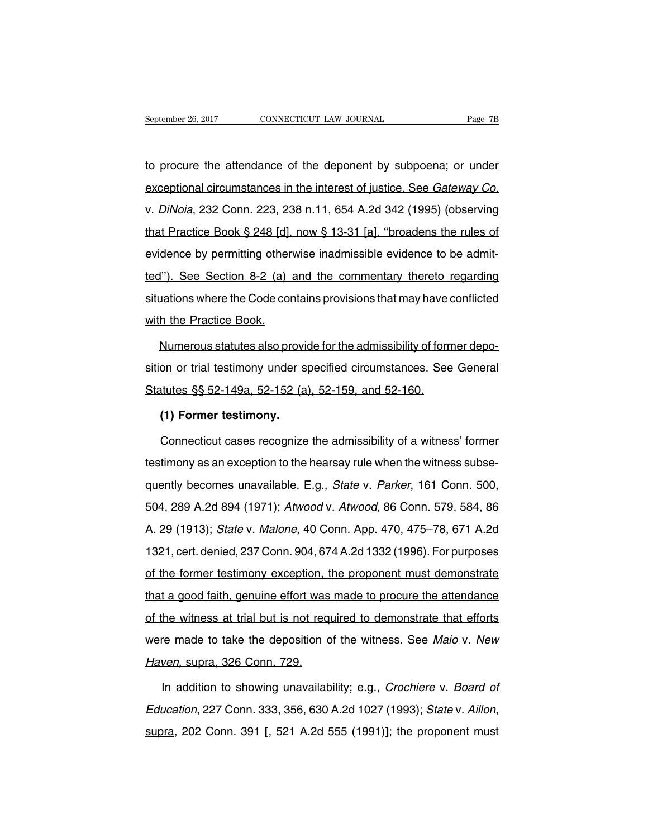September 26, 2017 CONNECTICUT LAW JOURNAL Page 7B<br>to procure the attendance of the deponent by subpoena; or under<br>exceptional circumstances in the interest of justice. See *Gateway Co.* September 26, 2017 CONNECTICUT LAW JOURNAL Page 7B<br>to procure the attendance of the deponent by subpoena; or under<br>exceptional circumstances in the interest of justice. See *Gateway Co.*<br>v. *DiNoia*, 232 Conn. 223, 238 n.1 to procure the attendance of the deponent by subpoena; or under<br>exceptional circumstances in the interest of justice. See *Gateway Co.*<br>v. *DiNoia*, 232 Conn. 223, 238 n.11, 654 A.2d 342 (1995) (observing<br>that Practice Boo to procure the attendance of the deponent by subpoena; or under<br>exceptional circumstances in the interest of justice. See Gateway Co.<br>v. DiNoia, 232 Conn. 223, 238 n.11, 654 A.2d 342 (1995) (observing<br>that Practice Book § exceptional circumstance of the dependent by edspoond, of difference exceptional circumstances in the interest of justice. See *Gateway Co.*<br>v. *DiNoia*, 232 Conn. 223, 238 n.11, 654 A.2d 342 (1995) (observing that Practic v. DiNoia, 232 Conn. 223, 238 n.11, 654 A.2d 342 (1995) (observing<br>that Practice Book § 248 [d], now § 13-31 [a], "broadens the rules of<br>evidence by permitting otherwise inadmissible evidence to be admit-<br>ted"). See Sectio that Practice Book § 248 [d], now § 13-31 [a], "broadens the rules of evidence by permitting otherwise inadmissible evidence to be admitted"). See Section 8-2 (a) and the commentary thereto regarding situations where the with the Dock y 2 To pay.<br>
evidence by permitting othen<br>
ted"). See Section 8-2 (a) a<br>
situations where the Code cor<br>
with the Practice Book.<br>
Numerous statutes also pro The Section 8-2 (a) and the commentary thereto regarding<br>
uations where the Code contains provisions that may have conflicted<br>
the Practice Book.<br>
Numerous statutes also provide for the admissibility of former depo-<br>
on or

situations where the Code contains provisions that may have conflicted<br>with the Practice Book.<br>Numerous statutes also provide for the admissibility of former depo-<br>sition or trial testimony under specified circumstances. S with the Practice Book.<br>
Numerous statutes also provide for the admissibility of form<br>
sition or trial testimony under specified circumstances. See<br>
Statutes §§ 52-149a, 52-152 (a), 52-159, and 52-160.<br>
(1) Former testimon Numerous statutes also provid<br>The onlight onlight testimony under statutes §§ 52-149a, 52-152 (a)<br>**(1) Former testimony.**<br>Connecticut cases recognize on or trial testimony under specified circumstances. See General<br>tutes §§ 52-149a, 52-152 (a), 52-159, and 52-160.<br>(1) Former testimony.<br>Connecticut cases recognize the admissibility of a witness' former<br>timony as an excep

Statutes §§ 52-149a, 52-152 (a), 52-159, and 52-160.<br>
(1) Former testimony.<br>
Connecticut cases recognize the admissibility of a witness' former<br>
testimony as an exception to the hearsay rule when the witness subse-<br>
quentl (1) Former testimony.<br>
Connecticut cases recognize the admissibility of a witness' former<br>
testimony as an exception to the hearsay rule when the witness subse-<br>
quently becomes unavailable. E.g., *State v. Parker*, 161 C Connecticut cases recognize the admissibility of a witness' former<br>testimony as an exception to the hearsay rule when the witness subse-<br>quently becomes unavailable. E.g., *State v. Parker*, 161 Conn. 500,<br>504, 289 A.2d 89 Lestimony as an exception to the hearsay rule when the witness subsequently becomes unavailable. E.g., *State v. Parker*, 161 Conn. 500, 504, 289 A.2d 894 (1971); *Atwood v. Atwood*, 86 Conn. 579, 584, 86 A. 29 (1913); *St* duently becomes unavailable. E.g., *State v. Parker*, 161 Conn. 500, 504, 289 A.2d 894 (1971); *Atwood v. Atwood*, 86 Conn. 579, 584, 86 A. 29 (1913); *State v. Malone*, 40 Conn. App. 470, 475–78, 671 A.2d 1321, cert. deni 504, 289 A.2d 894 (1971); Atwood v. Atwood, 86 Conn. 579, 584, 86<br>A. 29 (1913); State v. Malone, 40 Conn. App. 470, 475–78, 671 A.2d<br>1321, cert. denied, 237 Conn. 904, 674 A.2d 1332 (1996). For purposes<br>of the former test 1, 2007, 2007, 2007, 2007, 1, 7, 7, 7, 7, 7, 7, 7, 7, 7, 7, 2007, 2007, 2007, 2007, 2007, 2007, 2007, 2007, 20<br>A. 29 (1913); *State v. Malone,* 40 Conn. App. 470, 475–78, 671 A.2d<br>1321, cert. denied, 237 Conn. 904, 674 A.2 1321, cert. denied, 237 Conn. 904, 674 A.2d 1332 (1996). For purposes<br>of the former testimony exception, the proponent must demonstrate<br>that a good faith, genuine effort was made to procure the attendance<br>of the witness at of the former testimony exception, the proponent must demonstrate<br>that a good faith, genuine effort was made to procure the attendance<br>of the witness at trial but is not required to demonstrate that efforts<br>were made to ta of the former testimony exception, the proponent must demonstrate<br>that a good faith, genuine effort was made to procure the attendance<br>of the witness at trial but is not required to demonstrate that efforts<br>were made to ta The witness at trial but is not required to demonstrate that efforts<br>re made to take the deposition of the witness. See Maio v. New<br>ven, supra, 326 Conn. 729.<br>In addition to showing unavailability; e.g., Crochiere v. Board

were made to take the deposition of the witness. See Maio v. New<br>Haven, supra, 326 Conn. 729.<br>In addition to showing unavailability; e.g., *Crochiere v. Board of*<br>Education, 227 Conn. 333, 356, 630 A.2d 1027 (1993); *State*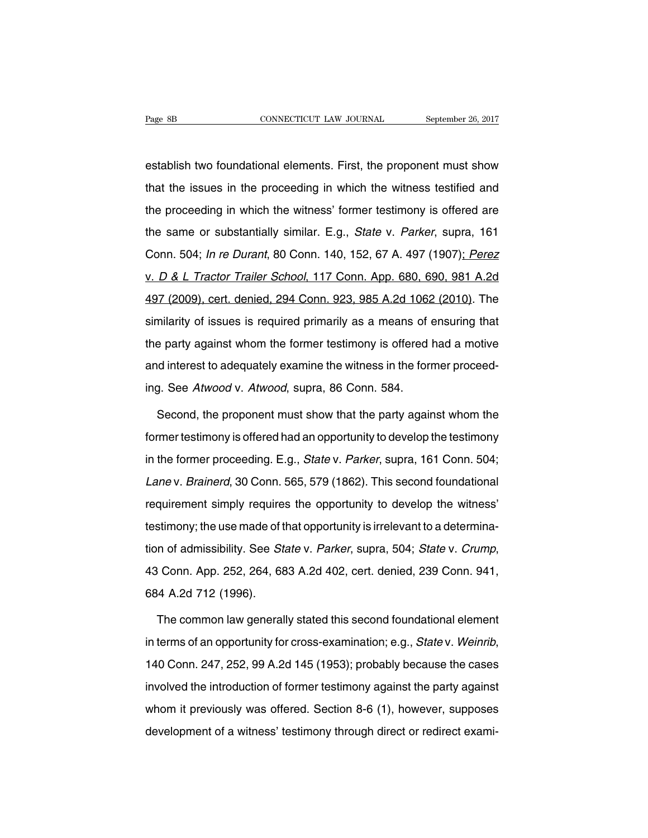Page 8B<br>
cONNECTICUT LAW JOURNAL September 26, 2017<br>
establish two foundational elements. First, the proponent must show<br>
that the issues in the proceeding in which the witness testified and Fage 8B CONNECTICUT LAW JOURNAL September 26, 2017<br>establish two foundational elements. First, the proponent must show<br>that the issues in the proceeding in which the witness testified and<br>the proceeding in which the witnes establish two foundational elements. First, the proponent must show<br>that the issues in the proceeding in which the witness testified and<br>the proceeding in which the witness' former testimony is offered are<br>the same or subs establish two foundational elements. First, the proponent must show<br>that the issues in the proceeding in which the witness testified and<br>the proceeding in which the witness' former testimony is offered are<br>the same or subs that the issues in the proceeding in which the witness testified and<br>the proceeding in which the witness' former testimony is offered are<br>the same or substantially similar. E.g., *State v. Parker*, supra, 161<br>Conn. 504; *I* the proceeding in which the witness' former testimony is offered are<br>the same or substantially similar. E.g., *State v. Parker*, supra, 161<br>Conn. 504; *In re Durant*, 80 Conn. 140, 152, 67 A. 497 (1907); *Perez*<br>v. *D & L* the same or substantially similar. E.g., *State v. Parker*, supra, 161<br>Conn. 504; *In re Durant*, 80 Conn. 140, 152, 67 A. 497 (1907); *Perez*<br>v. *D & L Tractor Trailer School*, 117 Conn. App. 680, 690, 981 A.2d<br>497 (2009) similarity of issues in 199, 1986 117 annet, eaply, 191<br>Conn. 504; *In re Durant*, 80 Conn. 140, 152, 67 A. 497 (1907); *Perez*<br>v. *D & L Tractor Trailer School*, 117 Conn. App. 680, 690, 981 A.2d<br>497 (2009), cert. denied, v. *D & L Tractor Trailer School*, 117 Conn. App. 680, 690, 981 A.2d<br>497 (2009), cert. denied, 294 Conn. 923, 985 A.2d 1062 (2010). The<br>similarity of issues is required primarily as a means of ensuring that<br>the party again  $\frac{1}{2009}$ , cert. denied, 294 Conn. 923, 985 A.2d 1062 (2010). The similarity of issues is required primarily as a means of ensuring that the party against whom the former testimony is offered had a motive and interest similarity of issues is required primarily as a means of the party against whom the former testimony is offered and interest to adequately examine the witness in the form ing. See Atwood v. Atwood, supra, 86 Conn. 584.<br>Sec Frequency against whom the former testimony is offered had a motive<br>d interest to adequately examine the witness in the former proceed-<br>J. See Atwood v. Atwood, supra, 86 Conn. 584.<br>Second, the proponent must show that the

and interest to adequately examine the witness in the former proceed-<br>ing. See Atwood v. Atwood, supra, 86 Conn. 584.<br>Second, the proponent must show that the party against whom the<br>former testimony is offered had an oppor ing. See Atwood v. Atwood, supra, 86 Conn. 584.<br>Second, the proponent must show that the party against whom the<br>former testimony is offered had an opportunity to develop the testimony<br>in the former proceeding. E.g., *State* Second, the proponent must show that the party against whom the<br>former testimony is offered had an opportunity to develop the testimony<br>in the former proceeding. E.g., *State v. Parker*, supra, 161 Conn. 504;<br>*Lane v. Brai* former testimony is offered had an opportunity to develop the testimony<br>in the former proceeding. E.g., *State v. Parker*, supra, 161 Conn. 504;<br>Lane v. *Brainerd*, 30 Conn. 565, 579 (1862). This second foundational<br>requir former testimony is offered had an opportunity to develop the testimony<br>in the former proceeding. E.g., *State v. Parker*, supra, 161 Conn. 504;<br>*Lane v. Brainerd*, 30 Conn. 565, 579 (1862). This second foundational<br>requir tion of admissibility. See State v. Parker, supple, 101 Committed, 1, Lane v. Brainerd, 30 Conn. 565, 579 (1862). This second foundational requirement simply requires the opportunity to develop the witness' testimony; the requiement empty require<br>testimony; the use made of t<br>tion of admissibility. See St<br>43 Conn. App. 252, 264, 68<br>684 A.2d 712 (1996). n of admissibility. See *State* v. *Parker*, supra, 504; *State* v. *Crump*,<br>i Conn. App. 252, 264, 683 A.2d 402, cert. denied, 239 Conn. 941,<br>i4 A.2d 712 (1996).<br>The common law generally stated this second foundational el

43 Conn. App. 252, 264, 683 A.2d 402, cert. denied, 239 Conn. 941,<br>684 A.2d 712 (1996).<br>The common law generally stated this second foundational element<br>in terms of an opportunity for cross-examination; e.g., *State v. Wei* The common law generally stated this second foundational element<br>in terms of an opportunity for cross-examination; e.g., *State* v. Weinrib,<br>140 Conn. 247, 252, 99 A.2d 145 (1953); probably because the cases<br>involved the i in terms of an opportunity for cross-examination; e.g., *Statev. Weinrib*, 140 Conn. 247, 252, 99 A.2d 145 (1953); probably because the cases involved the introduction of former testimony against the party against whom it development of a witness' testimony against the party against<br>whom it previously was offered. Section 8-6 (1), however, supposes<br>development of a witness' testimony through direct or redirect exami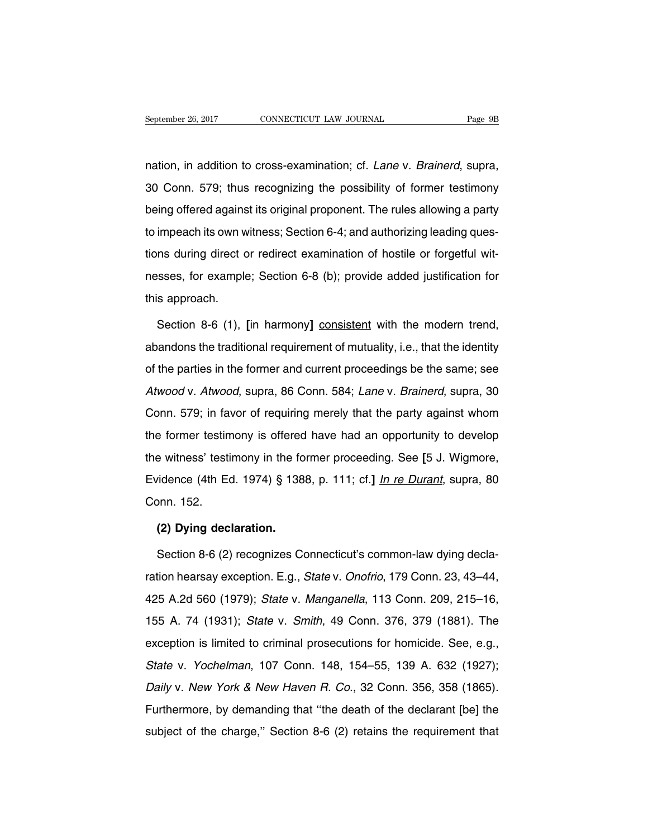September 26, 2017 CONNECTICUT LAW JOURNAL Page 9B<br>nation, in addition to cross-examination; cf. *Lane* v. *Brainerd*, supra,<br>30 Conn. 579; thus recognizing the possibility of former testimony September 26, 2017 CONNECTICUT LAW JOURNAL Page 9B<br>
1998 Conn. 579; thus recognizing the possibility of former testimony<br>
1999 Deing offered against its original proponent. The rules allowing a party hation, in addition to cross-examination; cf. *Lane* v. *Brainerd*, supra, 30 Conn. 579; thus recognizing the possibility of former testimony being offered against its original proponent. The rules allowing a party to impe nation, in addition to cross-examination; cf. *Lane* v. *Brainerd*, supra,<br>30 Conn. 579; thus recognizing the possibility of former testimony<br>being offered against its original proponent. The rules allowing a party<br>to impe tions, in during direct or redirect possibility of former testimony<br>being offered against its original proponent. The rules allowing a party<br>to impeach its own witness; Section 6-4; and authorizing leading ques-<br>tions duri being offered against its original proponent. The rules allowing a party<br>to impeach its own witness; Section 6-4; and authorizing leading ques-<br>tions during direct or redirect examination of hostile or forgetful wit-<br>nesse to impeach its own w<br>tions during direct c<br>nesses, for example<br>this approach.<br>Section 8-6 (1). In the during direct or redirect examination of hostile or forgetful wit-<br>sses, for example; Section 6-8 (b); provide added justification for<br>Section 8-6 (1), [in harmony] consistent with the modern trend,<br>andons the tradi

messes, for example; Section 6-8 (b); provide added justification for<br>this approach.<br>Section 8-6 (1), [in harmony] consistent with the modern trend,<br>abandons the traditional requirement of mutuality, i.e., that the identit this approach.<br>Section 8-6 (1), [in harmony] consistent with the modern trend,<br>abandons the traditional requirement of mutuality, i.e., that the identity<br>of the parties in the former and current proceedings be the same; se Section 8-6 (1), [in harmony] consistent with the modern trend,<br>abandons the traditional requirement of mutuality, i.e., that the identity<br>of the parties in the former and current proceedings be the same; see<br>Atwood v. Atw abandons the traditional requirement of mutuality, i.e., that the identity<br>of the parties in the former and current proceedings be the same; see<br>Atwood v. Atwood, supra, 86 Conn. 584; Lane v. Brainerd, supra, 30<br>Conn. 579; of the parties in the former and current proceedings be the same; see<br>Atwood v. Atwood, supra, 86 Conn. 584; Lane v. Brainerd, supra, 30<br>Conn. 579; in favor of requiring merely that the party against whom<br>the former testim Atwood v. Atwood, supra, 86 Conn. 584; Lane v. Brainerd, supra, 30 Conn. 579; in favor of requiring merely that the party against whom the former testimony is offered have had an opportunity to develop the witness' testimo Eximeted v. 2 Interest, eaply, etc. 21. Each v. 21. Early against whom<br>the former testimony is offered have had an opportunity to develop<br>the witness' testimony in the former proceeding. See [5 J. Wigmore,<br>Evidence (4th Ed the former testin<br>the former testin<br>Evidence (4th Edonn. 152.<br>(2) Dvina dec e witness' testimony in the fo<br>
idence (4th Ed. 1974) § 138<br>
pnn. 152.<br> **(2) Dying declaration.**<br>
Section 8-6 (2) recognizes Completers. vidence (4th Ed. 1974) § 1388, p. 111; cf.] <u>In re Durant</u>, supra, 80<br>pnn. 152.<br>**(2) Dying declaration.**<br>Section 8-6 (2) recognizes Connecticut's common-law dying decla-<br>tion hearsay exception. E.g., *State* v. *Onofrio*,

Conn. 152.<br>
(2) Dying declaration.<br>
Section 8-6 (2) recognizes Connecticut's common-law dying decla-<br>
ration hearsay exception. E.g., State v. Onofrio, 179 Conn. 23, 43–44,<br>
425 A.2d 560 (1979); State v. Manganella, 113 Co (2) Dying declaration.<br>
Section 8-6 (2) recognizes Connecticut's common-law dying decla-<br>
ration hearsay exception. E.g., *State v. Onofrio*, 179 Conn. 23, 43–44,<br>
425 A.2d 560 (1979); *State v. Manganella*, 113 Conn. 209, Section 8-6 (2) recognizes Connecticut's common-law dying decla-<br>ration hearsay exception. E.g., *State v. Onofrio*, 179 Conn. 23, 43–44,<br>425 A.2d 560 (1979); *State v. Manganella*, 113 Conn. 209, 215–16,<br>155 A. 74 (1931); ration hearsay exception. E.g., *State v. Onofrio*, 179 Conn. 23, 43–44, 425 A.2d 560 (1979); *State v. Manganella*, 113 Conn. 209, 215–16, 155 A. 74 (1931); *State v. Smith*, 49 Conn. 376, 379 (1881). The exception is li Alternology exception: E.g., clate v. Cheme, 113 Conn. 209, 215–16, 425 A.2d 560 (1979); *State v. Manganella*, 113 Conn. 209, 215–16, 155 A. 74 (1931); *State v. Smith*, 49 Conn. 376, 379 (1881). The exception is limited 155 A. 74 (1931); *State v. Smith*, 49 Conn. 376, 379 (1881). The exception is limited to criminal prosecutions for homicide. See, e.g., *State v. Yochelman*, 107 Conn. 148, 154–55, 139 A. 632 (1927); *Daily v. New York &* Exception is limited to criminal prosecutions for homicide. See, e.g., State v. Yochelman, 107 Conn. 148, 154–55, 139 A. 632 (1927); Daily v. New York & New Haven R. Co., 32 Conn. 356, 358 (1865). Furthermore, by demandin Skate v. Yochelman, 107 Conn. 148, 154–55, 139 A. 632 (1927);<br>Daily v. New York & New Haven R. Co., 32 Conn. 356, 358 (1865).<br>Furthermore, by demanding that "the death of the declarant [be] the<br>subject of the charge," Sect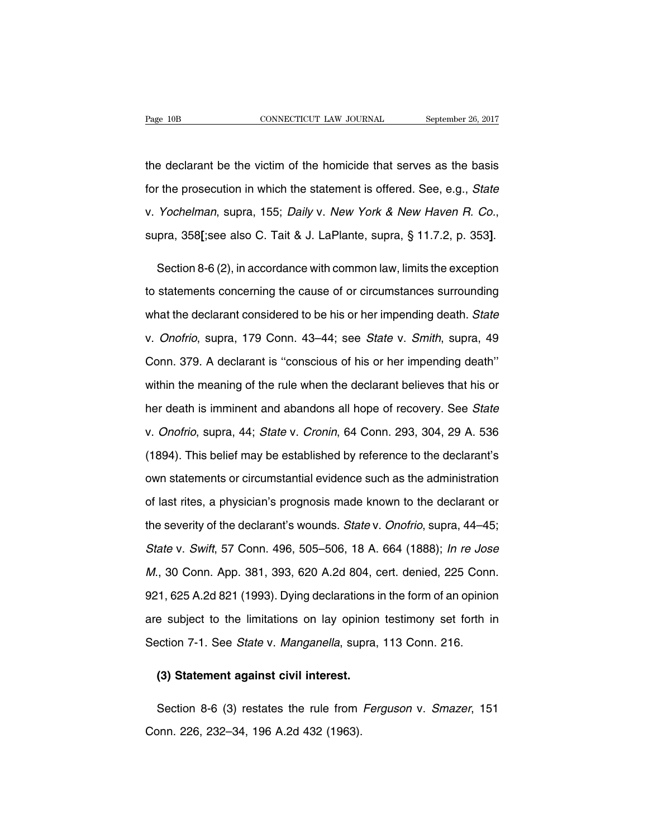The declarant be the victim of the homicide that serves as the basis<br>the declarant be the victim of the homicide that serves as the basis<br>for the prosecution in which the statement is offered. See, e.g., *State* Fage 10B CONNECTICUT LAW JOURNAL September 26, 2017<br>the declarant be the victim of the homicide that serves as the basis<br>for the prosecution in which the statement is offered. See, e.g., *State*<br>v. Yochelman, supra, 155; D the declarant be the victim of the homicide that serves as the basis<br>for the prosecution in which the statement is offered. See, e.g., *State*<br>v. Yochelman, supra, 155; *Daily* v. New York & New Haven R. Co.,<br>supra, 358**[** 

v. Yochelman, supra, 155; Daily v. New York & New Haven R. Co.,<br>supra, 358[;see also C. Tait & J. LaPlante, supra, § 11.7.2, p. 353].<br>Section 8-6 (2), in accordance with common law, limits the exception<br>to statements conce supra, 358[;see also C. Tait & J. LaPlante, supra, § 11.7.2, p. 353].<br>Section 8-6 (2), in accordance with common law, limits the exception<br>to statements concerning the cause of or circumstances surrounding<br>what the declara Section 8-6 (2), in accordance with common law, limits the exception<br>to statements concerning the cause of or circumstances surrounding<br>what the declarant considered to be his or her impending death. State<br>v. Onofrio, supr to statements concerning the cause of or circumstances surrounding<br>what the declarant considered to be his or her impending death. State<br>v. Onofrio, supra, 179 Conn. 43–44; see State v. Smith, supra, 49<br>Conn. 379. A declar what the declarant considered to be his or her impending death. State<br>v. Onofrio, supra, 179 Conn. 43–44; see State v. Smith, supra, 49<br>Conn. 379. A declarant is "conscious of his or her impending death"<br>within the meaning v. *Onofrio*, supra, 179 Conn. 43–44; see *State* v. *Smith*, supra, 49<br>Conn. 379. A declarant is "conscious of his or her impending death"<br>within the meaning of the rule when the declarant believes that his or<br>her death i Conn. 379. A declarant is "conscious of his or her impending death"<br>within the meaning of the rule when the declarant believes that his or<br>her death is imminent and abandons all hope of recovery. See *State*<br>v. *Onofrio*, within the meaning of the rule when the declarant believes that his or<br>her death is imminent and abandons all hope of recovery. See *State*<br>v. *Onofrio*, supra, 44; *State* v. *Cronin*, 64 Conn. 293, 304, 29 A. 536<br>(1894). her death is imminent and abandons all hope of recovery. See *State*<br>v. *Onofrio*, supra, 44; *State* v. *Cronin*, 64 Conn. 293, 304, 29 A. 536<br>(1894). This belief may be established by reference to the declarant's<br>own sta v. *Onofrio*, supra, 44; *State* v. *Cronin*, 64 Conn. 293, 304, 29 A. 536<br>(1894). This belief may be established by reference to the declarant's<br>own statements or circumstantial evidence such as the administration<br>of last (1894). This belief may be established by reference to the declarant's own statements or circumstantial evidence such as the administration of last rites, a physician's prognosis made known to the declarant or the severity own statements or circumstantial evidence such as the administration<br>of last rites, a physician's prognosis made known to the declarant or<br>the severity of the declarant's wounds. *State v. Onofrio*, supra, 44–45;<br>*State v.* of last rites, a physician's prognosis made known to the declarant or<br>the severity of the declarant's wounds. *State v. Onofrio*, supra, 44–45;<br>*State v. Swift*, 57 Conn. 496, 505–506, 18 A. 664 (1888); *In re Jose*<br>*M.*, the severity of the declarant's wounds. *State* v. *Onofrio*, supra, 44–45;<br> *State* v. *Swift*, 57 Conn. 496, 505–506, 18 A. 664 (1888); *In re Jose*<br> *M.*, 30 Conn. App. 381, 393, 620 A.2d 804, cert. denied, 225 Conn.<br>
9 State v. Swift, 57 Conn. 496, 505–506, 18 A. 664 (1888); *In re Jose M.*, 30 Conn. App. 381, 393, 620 A.2d 804, cert. denied, 225 Conn.<br>921, 625 A.2d 821 (1993). Dying declarations in the form of an opinion<br>are subject to M., 30 Conn. App. 381, 393, 620 A.2d 804, cert. denied, 225 Conr<br>921, 625 A.2d 821 (1993). Dying declarations in the form of an opinio<br>are subject to the limitations on lay opinion testimony set forth i<br>Section 7-1. See St 1, 625 A.2d 821 (1993). Dying declarations i<br>
e subject to the limitations on lay opinion<br>
ection 7-1. See *State* v. *Manganella*, supra,<br> **(3) Statement against civil interest.** 

Section 7-1. See *State* v. *Manganella*, supra, 113 Conn. 216.<br> **(3) Statement against civil interest.**<br>
Section 8-6 (3) restates the rule from *Ferguson v. Smazer*, 151<br>
pnn. 226, 232–34, 196 A.2d 432 (1963). (3) Statement against civil interest.<br>Section 8-6 (3) restates the rule from<br>Conn. 226, 232–34, 196 A.2d 432 (1963).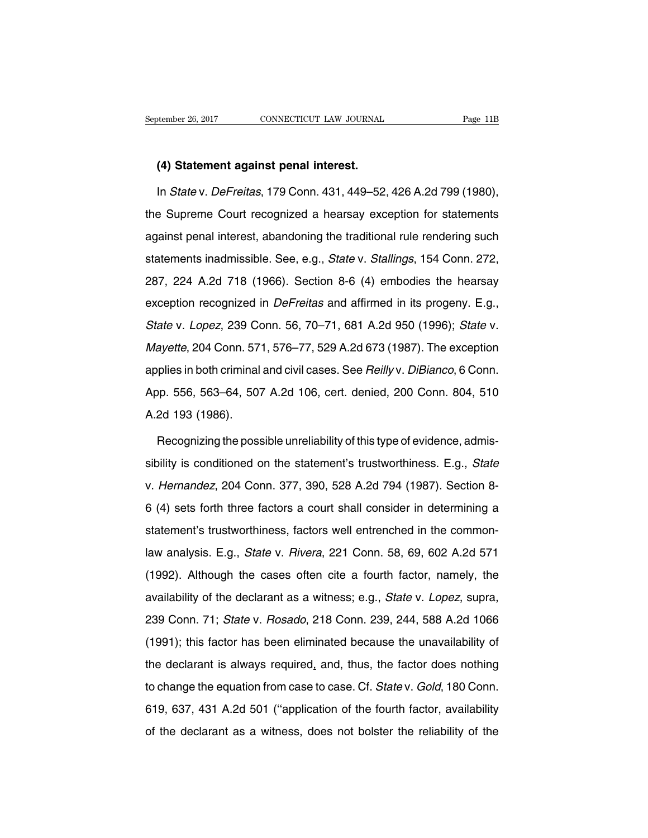# **EXECUTE: EXECUTE ANDER 149 Statement against penal interest.**<br> **(4) Statement against penal interest.**<br>
In *State* v. DeFreitas. 179 Conn. 431, 449–52.

In State v. Defreitas, 179 Connecticured a hearst september 26, 2017<br> **In State v. Defreitas, 179 Conn. 431, 449–52, 426 A.2d 799 (1980),**<br>
In State v. Defreitas, 179 Conn. 431, 449–52, 426 A.2d 799 (1980),<br>
In State v. De (4) Statement against penal interest.<br>
In State v. DeFreitas, 179 Conn. 431, 449–52, 426 A.2d 799 (1980),<br>
the Supreme Court recognized a hearsay exception for statements<br>
against penal interest, abandoning the traditional (4) Statement against penal interest.<br>
In State v. DeFreitas, 179 Conn. 431, 449–52, 426 A.2d 799 (1980),<br>
the Supreme Court recognized a hearsay exception for statements<br>
against penal interest, abandoning the traditional In *State* v. *DeFreitas*, 179 Conn. 431, 449–52, 426 A.2d 799 (1980),<br>the Supreme Court recognized a hearsay exception for statements<br>against penal interest, abandoning the traditional rule rendering such<br>statements inadm the Supreme Court recognized a hearsay exception for statements<br>against penal interest, abandoning the traditional rule rendering such<br>statements inadmissible. See, e.g., *State v. Stallings*, 154 Conn. 272,<br>287, 224 A.2d example in the example of the traditional rule rendering such<br>statements inadmissible. See, e.g., *State v. Stallings*, 154 Conn. 272,<br>287, 224 A.2d 718 (1966). Section 8-6 (4) embodies the hearsay<br>exception recognized in statements inadmissible. See, e.g., *State* v. *Stallings*, 154 Conn. 272,<br>287, 224 A.2d 718 (1966). Section 8-6 (4) embodies the hearsay<br>exception recognized in *DeFreitas* and affirmed in its progeny. E.g.,<br>*State* v. *L* Mayette, 204 Conn. 571, 576–77, 529 A.2d 673 (1987). The exception exception recognized in *DeFreitas* and affirmed in its progeny. E.g., State v. Lopez, 239 Conn. 56, 70–71, 681 A.2d 950 (1996); State v. Mayette, 204 Conn. 571, 576–77, 529 A.2d 673 (1987). The exception applies in both Shate v. Lopez, 239 Conn. 56, 70–71, 681 A.2d 950 (1996); *State* v.<br>Mayette, 204 Conn. 571, 576–77, 529 A.2d 673 (1987). The exception<br>applies in both criminal and civil cases. See *Reilly* v. *DiBianco*, 6 Conn.<br>App. 556 Mayette, 204 Conn. 57<br>
Applies in both criminal<br>
App. 556, 563–64, 507<br>
A.2d 193 (1986).<br>
Recognizing the poss plies in both criminal and civil cases. See *Reilly* v. *DiBianco*, 6 Conn.<br>pp. 556, 563–64, 507 A.2d 106, cert. denied, 200 Conn. 804, 510<br>2d 193 (1986).<br>Recognizing the possible unreliability of this type of evidence, ad

App. 556, 563–64, 507 A.2d 106, cert. denied, 200 Conn. 804, 510<br>A.2d 193 (1986).<br>Recognizing the possible unreliability of this type of evidence, admis-<br>sibility is conditioned on the statement's trustworthiness. E.g., *S* A.2d 193 (1986).<br>Recognizing the possible unreliability of this type of evidence, admis-<br>sibility is conditioned on the statement's trustworthiness. E.g., *State*<br>v. Hernandez, 204 Conn. 377, 390, 528 A.2d 794 (1987). Sect Recognizing the possible unreliability of this type of evidence, admissibility is conditioned on the statement's trustworthiness. E.g., *State* v. *Hernandez*, 204 Conn. 377, 390, 528 A.2d 794 (1987). Section 8-6 (4) sets sibility is conditioned on the statement's trustworthiness. E.g., *State* v. *Hernandez*, 204 Conn. 377, 390, 528 A.2d 794 (1987). Section 8-6 (4) sets forth three factors a court shall consider in determining a statement' v. Hernandez, 204 Conn. 377, 390, 528 A.2d 794 (1987). Section 8-<br>6 (4) sets forth three factors a court shall consider in determining a<br>statement's trustworthiness, factors well entrenched in the common-<br>law analysis. E.g (1992). Although the declarant as a witness; e.g., *State v. Lopez*, suppression of the common-<br>aw analysis. E.g., *State v. Rivera*, 221 Conn. 58, 69, 602 A.2d 571<br>(1992). Although the cases often cite a fourth factor, n and the declarant as a witness; e.g., State v. Pivera, 221 Conn. 58, 69, 602 A.2d 571<br>(1992). Although the cases often cite a fourth factor, namely, the<br>availability of the declarant as a witness; e.g., State v. Lopez, sup Iaw analysis. E.g., *State v. Rivera*, 221 Conn. 58, 69, 602 A.2d 571<br>(1992). Although the cases often cite a fourth factor, namely, the<br>availability of the declarant as a witness; e.g., *State v. Lopez*, supra,<br>239 Conn. (1992). Although the cases often cite a fourth factor, namely, the availability of the declarant as a witness; e.g., *State v. Lopez*, supra, 239 Conn. 71; *State v. Rosado*, 218 Conn. 239, 244, 588 A.2d 1066 (1991); this availability of the declarant as a witness; e.g., *State v. Lopez*, supra, 239 Conn. 71; *State v. Rosado*, 218 Conn. 239, 244, 588 A.2d 1066 (1991); this factor has been eliminated because the unavailability of the declar araliasing of the accuration from case thinkies, eigit, etail of Espect, eaplica,<br>239 Conn. 71; State v. Rosado, 218 Conn. 239, 244, 588 A.2d 1066<br>(1991); this factor has been eliminated because the unavailability of<br>the d (1991); this factor has been eliminated because the unavailability of the declarant is always required, and, thus, the factor does nothing to change the equation from case to case. Cf. *State v. Gold*, 180 Conn. 619, 637, the declarant is always required, and, thus, the factor does nothing<br>to change the equation from case to case. Cf. State v. Gold, 180 Conn.<br>619, 637, 431 A.2d 501 ("application of the fourth factor, availability<br>of the dec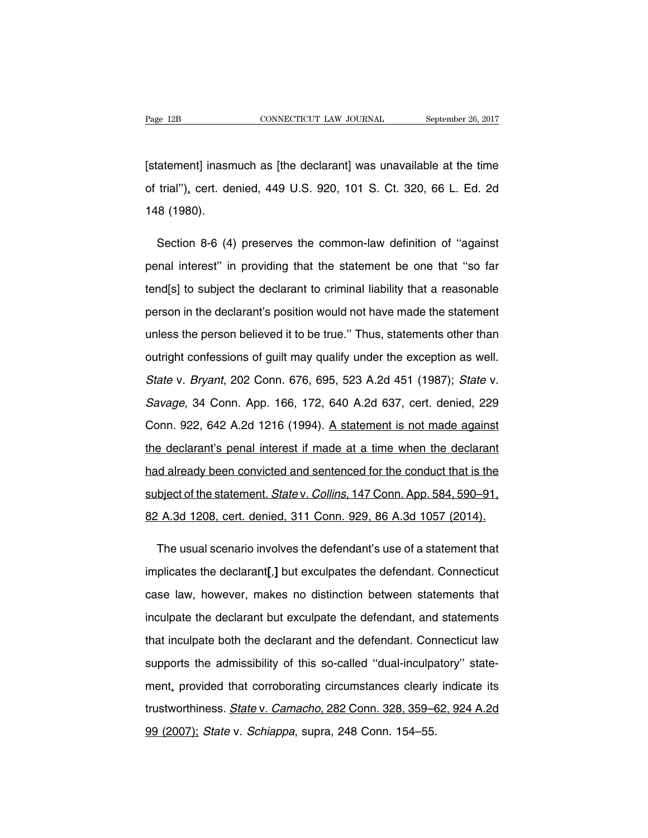Page 12B<br>
CONNECTICUT LAW JOURNAL September 26, 2017<br>
[statement] inasmuch as [the declarant] was unavailable at the time<br>
of trial"), cert. denied, 449 U.S. 920, 101 S. Ct. 320, 66 L. Ed. 2d Page 12B CONNECTICUT LAW JOURNAL September 26, 2017<br>[statement] inasmuch as [the declarant] was unavailable at the time<br>of trial"), cert. denied, 449 U.S. 920, 101 S. Ct. 320, 66 L. Ed. 2d<br>148 (1980). [statement] inasm<br>of trial"), cert. de<br>148 (1980). atement] inasmuch as [the declarant] was unavailable at the time<br>trial"), cert. denied, 449 U.S. 920, 101 S. Ct. 320, 66 L. Ed. 2d<br>8 (1980).<br>Section 8-6 (4) preserves the common-law definition of "against<br>nal interest" in

of trial"), cert. denied, 449 U.S. 920, 101 S. Ct. 320, 66 L. Ed. 2d<br>148 (1980).<br>Section 8-6 (4) preserves the common-law definition of "against<br>penal interest" in providing that the statement be one that "so far<br>tend[s] t 148 (1980).<br>Section 8-6 (4) preserves the common-law definition of "against<br>penal interest" in providing that the statement be one that "so far<br>tend[s] to subject the declarant to criminal liability that a reasonable<br>perso Section 8-6 (4) preserves the common-law definition of "against<br>penal interest" in providing that the statement be one that "so far<br>tend[s] to subject the declarant to criminal liability that a reasonable<br>person in the dec penal interest" in providing that the statement be one that "so far<br>tend[s] to subject the declarant to criminal liability that a reasonable<br>person in the declarant's position would not have made the statement<br>unless the p tend[s] to subject the declarant to criminal liability that a reasonable<br>person in the declarant's position would not have made the statement<br>unless the person believed it to be true." Thus, statements other than<br>outright person in the declarant's position would not have made the statement<br>unless the person believed it to be true." Thus, statements other than<br>outright confessions of guilt may qualify under the exception as well.<br>State v. Br unless the person believed it to be true." Thus, statements other than<br>outright confessions of guilt may qualify under the exception as well.<br>State v. Bryant, 202 Conn. 676, 695, 523 A.2d 451 (1987); State v.<br>Savage, 34 Co outright confessions of guilt may qualify under the exception as well.<br>State v. Bryant, 202 Conn. 676, 695, 523 A.2d 451 (1987); State v.<br>Savage, 34 Conn. App. 166, 172, 640 A.2d 637, cert. denied, 229<br>Conn. 922, 642 A.2d State v. Bryant, 202 Conn. 676, 695, 523 A.2d 451 (1987); State v.<br>Savage, 34 Conn. App. 166, 172, 640 A.2d 637, cert. denied, 229<br>Conn. 922, 642 A.2d 1216 (1994). A statement is not made against<br>the declarant's penal inte Savage, 34 Conn. App. 166, 172, 640 A.2d 637, cert. denied, 229<br>Conn. 922, 642 A.2d 1216 (1994). A statement is not made against<br>the declarant's penal interest if made at a time when the declarant<br>had already been convicte Conn. 922, 642 A.2d 1216 (1994). A statement is not made against<br>the declarant's penal interest if made at a time when the declarant<br>had already been convicted and sentenced for the conduct that is the<br>subject of the state the declarant's penal interest if made at a time when the declarant<br>had already been convicted and sentenced for the conduct that is the<br>subject of the statement. *State* v. Collins, 147 Conn. App. 584, 590–91,<br>82 A.3d 120 d already been convicted and sentenced for the conduct that is the<br>bject of the statement. *State* v. *Collins*, 147 Conn. App. 584, 590–91,<br>' A.3d 1208, cert. denied, 311 Conn. 929, 86 A.3d 1057 (2014).<br>The usual scenario

subject of the statement. *State* v. *Collins*, 147 Conn. App. 584, 590–91,<br>
82 A.3d 1208, cert. denied, 311 Conn. 929, 86 A.3d 1057 (2014).<br>
The usual scenario involves the defendant's use of a statement that<br>
implicates 82 A.3d 1208, cert. denied, 311 Conn. 929, 86 A.3d 1057 (2014).<br>The usual scenario involves the defendant's use of a statement that<br>implicates the declarant[,] but exculpates the defendant. Connecticut<br>case law, however, m The usual scenario involves the defendant's use of a statement that<br>implicates the declarant[,] but exculpates the defendant. Connecticut<br>case law, however, makes no distinction between statements that<br>inculpate the declar implicates the declarant[,] but exculpates the defendant. Connecticut<br>case law, however, makes no distinction between statements that<br>inculpate the declarant but exculpate the defendant, and statements<br>that inculpate both case law, however, makes no distinction between statements that<br>inculpate the declarant but exculpate the defendant, and statements<br>that inculpate both the declarant and the defendant. Connecticut law<br>supports the admissib inculpate the declarant but exculpate the defendant, and statements<br>that inculpate both the declarant and the defendant. Connecticut law<br>supports the admissibility of this so-called "dual-inculpatory" state-<br>ment, provided that inculpate both the declarant and the defendant. Connecticut law<br>supports the admissibility of this so-called "dual-inculpatory" state-<br>ment, provided that corroborating circumstances clearly indicate its<br>trustworthine supports the admissibility of this so-called "dual-inculpa<br>ment, provided that corroborating circumstances clearly<br>trustworthiness. *State* v. *Camacho*, 282 Conn. 328, 359–6<br>99 (2007); *State* v. *Schiappa*, supra, 248 Co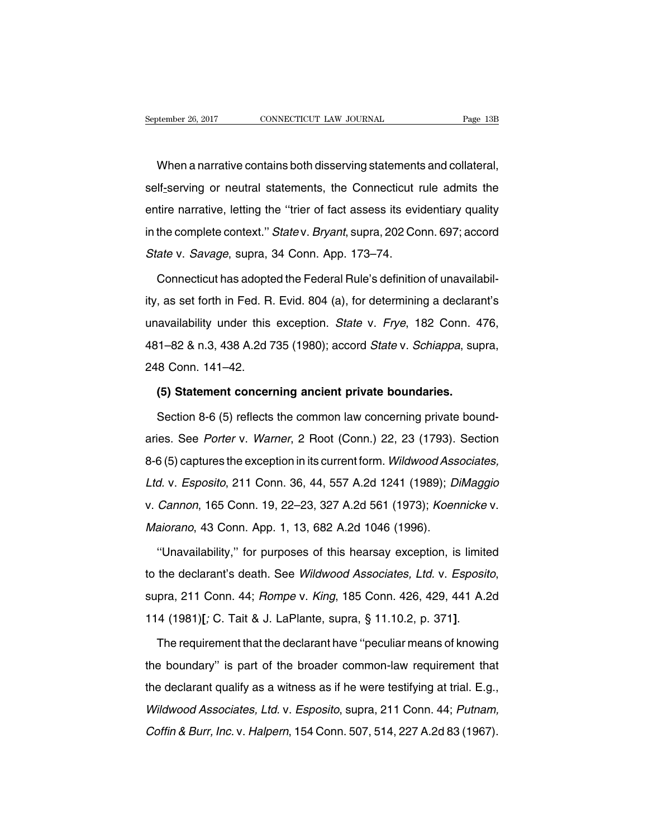Moder 26, 2017 CONNECTICUT LAW JOURNAL Page 13B<br>When a narrative contains both disserving statements and collateral,<br>If-serving or neutral statements, the Connecticut rule admits the September 26, 2017 CONNECTICUT LAW JOURNAL Page 13B<br>When a narrative contains both disserving statements and collateral,<br>self-serving or neutral statements, the Connecticut rule admits the<br>entire narrative, letting the "tr When a narrative contains both disserving statements and collateral,<br>self-serving or neutral statements, the Connecticut rule admits the<br>entire narrative, letting the "trier of fact assess its evidentiary quality<br>in the co When a narrative contains both disserving statements and collateral,<br>self-serving or neutral statements, the Connecticut rule admits the<br>entire narrative, letting the "trier of fact assess its evidentiary quality<br>in the co Self-serving or neutral statements, the Connecticut rentire narrative, letting the "trier of fact assess its evident<br>in the complete context." State v. Bryant, supra, 202 Co<br>State v. Savage, supra, 34 Conn. App. 173–74.<br>Co Treate interpretative, letting the "trier of fact assess its evidentiary quality<br>the complete context." Statev. Bryant, supra, 202 Conn. 697; accord<br>ate v. Savage, supra, 34 Conn. App. 173–74.<br>Connecticut has adopted the F

in the complete context." *Statev. Bryant*, supra, 202 Conn. 697; accord<br> *Statev. Savage*, supra, 34 Conn. App. 173–74.<br>
Connecticut has adopted the Federal Rule's definition of unavailabil-<br>
ity, as set forth in Fed. R. State v. Savage, supra, 34 Conn. App. 173–74.<br>Connecticut has adopted the Federal Rule's definition of unavailabil-<br>ity, as set forth in Fed. R. Evid. 804 (a), for determining a declarant's<br>unavailability under this except Connecticut has adopted the Federal Rule's definition of unavailabil-<br>ity, as set forth in Fed. R. Evid. 804 (a), for determining a declarant's<br>unavailability under this exception. State v. Frye, 182 Conn. 476,<br>481–82 & n. ty, as set forth in Fed. R.<br>
unavailability under this<br>
481–82 & n.3, 438 A.2d 7<br>
248 Conn. 141–42.<br>
(5) Statement concern availability under this exception. *State* v. *Frye*, 182 Conn. 4<br>
1-82 & n.3, 438 A.2d 735 (1980); accord *State* v. *Schiappa*, sur<br>
8 Conn. 141-42.<br>
(5) Statement concerning ancient private boundaries.<br>
Section 8-6 (5) 1–82 & n.3, 438 A.2d 735 (1980); accord *State* v. *Schiappa*, supra,<br>8 Conn. 141–42.<br>**(5) Statement concerning ancient private boundaries.**<br>Section 8-6 (5) reflects the common law concerning private bound-<br>ies. See *Porte* 

248 Conn. 141–42.<br>
(5) Statement concerning ancient private boundaries.<br>
Section 8-6 (5) reflects the common law concerning private bound-<br>
aries. See Porter v. Warner, 2 Root (Conn.) 22, 23 (1793). Section<br>
8-6 (5) captur (5) Statement concerning ancient private boundaries.<br>Section 8-6 (5) reflects the common law concerning private bound-<br>aries. See Porter v. Warner, 2 Root (Conn.) 22, 23 (1793). Section<br>8-6 (5) captures the exception in it Section 8-6 (5) reflects the common law concerning private bound-<br>aries. See Porter v. Warner, 2 Root (Conn.) 22, 23 (1793). Section<br>8-6 (5) captures the exception in its current form. Wildwood Associates,<br>Ltd. v. Esposito aries. See *Porter* v. *Warner*, 2 Root (Conn.) 22, 23 (1793). Section 8-6 (5) captures the exception in its current form. *Wildwood Associates,* Ltd. v. *Esposito*, 211 Conn. 36, 44, 557 A.2d 1241 (1989); *DiMaggio* v. *C* 8-6 (5) captures the exception in its current form. Wildwood Ass<br>Ltd. v. Esposito, 211 Conn. 36, 44, 557 A.2d 1241 (1989); D.<br>v. Cannon, 165 Conn. 19, 22–23, 327 A.2d 561 (1973); Koen<br>Maiorano, 43 Conn. App. 1, 13, 682 A. d. v. Esposito, 211 Conn. 36, 44, 557 A.2d 1241 (1989); DiMaggio<br>Cannon, 165 Conn. 19, 22–23, 327 A.2d 561 (1973); Koennicke v.<br>aiorano, 43 Conn. App. 1, 13, 682 A.2d 1046 (1996).<br>"Unavailability," for purposes of this hea

to the declarant's death. See Wildwood Associates, Ltd. v. Esposito, supra, 211 Conn. 44; Rompe v. King, 185 Conn. 426, 429, 441 A.2d 114 (1981)[; C. Tait & J. LaPlante, supra, § 11.10.2, p. 371]. "Unavailability," for purposes of this hearsay exception, is limited<br>to the declarant's death. See Wildwood Associates, Ltd. v. Esposito,<br>supra, 211 Conn. 44; Rompe v. King, 185 Conn. 426, 429, 441 A.2d<br>114 (1981)[; C. Tai

supra, 211 Conn. 44; *Rompe v. King*, 185 Conn. 426, 429, 441 A.2d<br>114 (1981)[; C. Tait & J. LaPlante, supra, § 11.10.2, p. 371].<br>The requirement that the declarant have "peculiar means of knowing<br>the boundary" is part of 114 (1981)[; C. Tait & J. LaPlante, supra, § 11.10.2, p. 371].<br>The requirement that the declarant have "peculiar means of knowing<br>the boundary" is part of the broader common-law requirement that<br>the declarant qualify as a The requirement that the declarant have "peculiar means of knowing<br>the boundary" is part of the broader common-law requirement that<br>the declarant qualify as a witness as if he were testifying at trial. E.g.,<br>Wildwood Assoc The requirement that the declarant rhave peculiar means of knowing<br>the boundary" is part of the broader common-law requirement that<br>the declarant qualify as a witness as if he were testifying at trial. E.g.,<br>Wildwood Assoc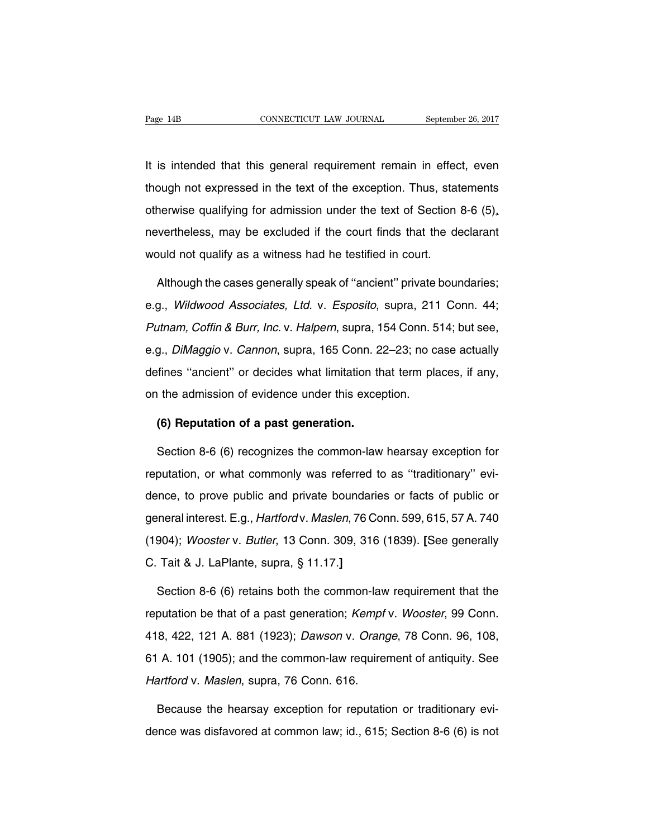Fage 14B<br>
CONNECTICUT LAW JOURNAL September 26, 2017<br>
It is intended that this general requirement remain in effect, even<br>
though not expressed in the text of the exception. Thus, statements Fage 14B CONNECTICUT LAW JOURNAL September 26, 2017<br>It is intended that this general requirement remain in effect, even<br>though not expressed in the text of the exception. Thus, statements<br>otherwise qualifying for admission It is intended that this general requirement remain in effect, even<br>though not expressed in the text of the exception. Thus, statements<br>otherwise qualifying for admission under the text of Section 8-6 (5),<br>nevertheless, ma It is intended that this general requirement remain in effect, even<br>though not expressed in the text of the exception. Thus, statements<br>otherwise qualifying for admission under the text of Section 8-6 (5),<br>nevertheless, ma It is intended that this general requirement remain in effect, even<br>though not expressed in the text of the exception. Thus, statements<br>otherwise qualifying for admission under the text of Section 8-6 (5),<br>nevertheless, ma herwise qualifying for admission under the text of Section 8-6 (5),<br>
wertheless, may be excluded if the court finds that the declarant<br>
puld not qualify as a witness had he testified in court.<br>
Although the cases generally

nevertheless, may be excluded if the court finds that the declarant<br>would not qualify as a witness had he testified in court.<br>Although the cases generally speak of "ancient" private boundaries;<br>e.g., *Wildwood Associates,* would not qualify as a witness had he testified in court.<br>Although the cases generally speak of "ancient" private boundaries;<br>e.g., *Wildwood Associates, Ltd.* v. *Esposito*, supra, 211 Conn. 44;<br>Putnam, Coffin & Burr, Inc Although the cases generally speak of "ancient" private boundaries;<br>e.g., Wildwood Associates, Ltd. v. Esposito, supra, 211 Conn. 44;<br>Putnam, Coffin & Burr, Inc. v. Halpern, supra, 154 Conn. 514; but see,<br>e.g., DiMaggio v. e.g., Wildwood Associates, Ltd. v. Esposito, supra, 211 Conn. 44;<br>Putnam, Coffin & Burr, Inc. v. Halpern, supra, 154 Conn. 514; but see,<br>e.g., DiMaggio v. Cannon, supra, 165 Conn. 22–23; no case actually<br>defines "ancient" ong., Whatever Messolates, Eta. 1: Esposite, expra, ET<br>Putnam, Coffin & Burr, Inc. v. Halpern, supra, 154 Conn. 5<br>e.g., DiMaggio v. Cannon, supra, 165 Conn. 22–23; no ca<br>defines "ancient" or decides what limitation that te **(6) Guarageleries "ancient"** or decides what limitation the admission of evidence under this exception.<br> **(6) Reputation of a past generation.**<br>
Section 8-6 (6) recognizes the common-law refines "ancient" or decides what limitation that term places, if any,<br>
1 the admission of evidence under this exception.<br> **(6) Reputation of a past generation.**<br>
Section 8-6 (6) recognizes the common-law hearsay exception

on the admission of evidence under this exception.<br> **(6) Reputation of a past generation.**<br>
Section 8-6 (6) recognizes the common-law hearsay exception for<br>
reputation, or what commonly was referred to as "traditionary" ev (6) Reputation of a past generation.<br>Section 8-6 (6) recognizes the common-law hearsay exception for<br>reputation, or what commonly was referred to as "traditionary" evi-<br>dence, to prove public and private boundaries or fac Section 8-6 (6) recognizes the common-law hearsay exception for<br>reputation, or what commonly was referred to as "traditionary" evi-<br>dence, to prove public and private boundaries or facts of public or<br>general interest. E.g. reputation, or what commonly was referred to as "traditionary" evidence, to prove public and private boundaries or facts of public or general interest. E.g., *Hartfordv. Maslen*, 76 Conn. 599, 615, 57 A. 740 (1904); *Woost* reputation, or what commonly was referred to as "traditionary" evi-<br>dence, to prove public and private boundaries or facts of public or<br>general interest. E.g., *Hartford* v. *Maslen*, 76 Conn. 599, 615, 57 A. 740<br>(1904); eneral interest. E.g., *Hartfordv. Maslen*, 76 Conn. 599, 615, 57 A. 740<br>904); *Woosterv. Butler*, 13 Conn. 309, 316 (1839). [See generally<br>Tait & J. LaPlante, supra, § 11.17.]<br>Section 8-6 (6) retains both the common-law r

(1904); Wooster v. Butler, 13 Conn. 309, 316 (1839). [See generally<br>C. Tait & J. LaPlante, supra, § 11.17.]<br>Section 8-6 (6) retains both the common-law requirement that the<br>reputation be that of a past generation; *Kempf* C. Tait & J. LaPlante, supra, § 11.17.]<br>Section 8-6 (6) retains both the common-law requirement that the<br>reputation be that of a past generation; *Kempf v. Wooster*, 99 Conn.<br>418, 422, 121 A. 881 (1923); *Dawson v. Orange* Section 8-6 (6) retains both the common-law requirement that the<br>reputation be that of a past generation; *Kempf v. Wooster*, 99 Conn.<br>418, 422, 121 A. 881 (1923); *Dawson v. Orange*, 78 Conn. 96, 108,<br>61 A. 101 (1905); an reputation be that of a past generation; Kempf<br>418, 422, 121 A. 881 (1923); Dawson v. Orang<br>61 A. 101 (1905); and the common-law require<br>Hartford v. Maslen, supra, 76 Conn. 616.<br>Because the bearsay exception for reputation 8, 422, 121 A. 881 (1923); *Dawson v. Orange*, 78 Conn. 96, 108,<br>A. 101 (1905); and the common-law requirement of antiquity. See<br>artford v. Maslen, supra, 76 Conn. 616.<br>Because the hearsay exception for reputation or tradi 61 A. 101 (1905); and the common-law requirement of antiquity. See<br>Hartford v. Maslen, supra, 76 Conn. 616.<br>Because the hearsay exception for reputation or traditionary evi-<br>dence was disfavored at common law; id., 615; Se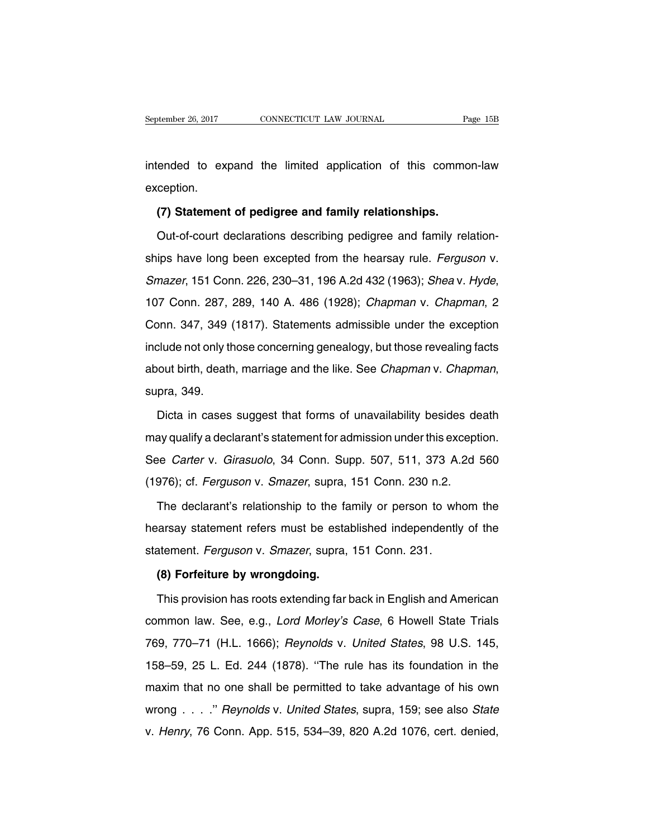September 26, 2017 CONNECTICUT LAW JOURNAL Page 15B<br>intended to expand the limited application of this common-law<br>exception. exception. Figure 1 and the state of this commented to expand the limited application of this comment<br>(**7) Statement of pedigree and family relationships.**<br>Out-of-court declarations describing pedigree and family re

ended to expand the limited application of this common-law<br>ception.<br>(7) Statement of pedigree and family relationships.<br>Out-of-court declarations describing pedigree and family relation-<br>ips have long been excepted from th exception.<br>
(7) Statement of pedigree and family relationships.<br>
Out-of-court declarations describing pedigree and family relation-<br>
ships have long been excepted from the hearsay rule. Ferguson v.<br>
Smazer, 151 Conn. 226, (7) Statement of pedigree and family relationships.<br>Out-of-court declarations describing pedigree and family relation-<br>ships have long been excepted from the hearsay rule. *Ferguson v.*<br>Smazer, 151 Conn. 226, 230–31, 196 A ships have long been excepted from the hearsay rule. *Ferguson v.*<br>Smazer, 151 Conn. 226, 230–31, 196 A.2d 432 (1963); *Sheav. Hyde*,<br>107 Conn. 287, 289, 140 A. 486 (1928); *Chapman v. Chapman*, 2<br>Conn. 347, 349 (1817). St Smazer, 151 Conn. 226, 230–31, 196 A.2d 432 (1963); Shea v. Hyde, 107 Conn. 287, 289, 140 A. 486 (1928); Chapman v. Chapman, 2<br>Conn. 347, 349 (1817). Statements admissible under the exception include not only those concern about birth, death, 140 A. 486 (1928); *Chapman v. Chapman*, 2<br>Conn. 347, 349 (1817). Statements admissible under the exception<br>include not only those concerning genealogy, but those revealing facts<br>about birth, death, mar clude not only those concerning genealogy, but those revealing facts<br>out birth, death, marriage and the like. See *Chapman* v. *Chapman*,<br>pra, 349.<br>Dicta in cases suggest that forms of unavailability besides death<br>ay quali

about birth, death, marriage and the like. See *Chapman* v. *Chapman*,<br>supra, 349.<br>Dicta in cases suggest that forms of unavailability besides death<br>may qualify a declarant's statement for admission under this exception.<br>S supra, 349.<br>
Dicta in cases suggest that forms of unavailability besides death<br>
may qualify a declarant's statement for admission under this exception.<br>
See *Carter* v. *Girasuolo*, 34 Conn. Supp. 507, 511, 373 A.2d 560<br>
( Dicta in cases suggest that forms of unavailability besides de<br>may qualify a declarant's statement for admission under this except<br>See Carter v. Girasuolo, 34 Conn. Supp. 507, 511, 373 A.2d<br>(1976); cf. Ferguson v. Smazer, ay qualify a declarant's statement for admission under this exception.<br>
Supp. 507, 511, 373 A.2d 560<br>
1976); cf. *Ferguson* v. *Smazer*, supra, 151 Conn. 230 n.2.<br>
The declarant's relationship to the family or person to wh

See Carter v. Girasuolo, 34 Conn. Supp. 507, 511, 373 A.2d 560<br>(1976); cf. Ferguson v. Smazer, supra, 151 Conn. 230 n.2.<br>The declarant's relationship to the family or person to whom the<br>hearsay statement refers must be est (1976); cf. *Ferguson* v. *Smazer*, supra, 151 Conn. 230 n.2.<br>The declarant's relationship to the family or person to wh<br>hearsay statement refers must be established independently<br>statement. *Ferguson* v. *Smazer*, supra, The declarant's relationship to the family or person to whom the<br>hearsay statement refers must be established independently of the<br>statement. *Ferguson* v. *Smazer*, supra, 151 Conn. 231.<br>**(8) Forfeiture by wrongdoing.**<br>Th France Statement refers must be established independently of the<br>atement. *Ferguson* v. *Smazer*, supra, 151 Conn. 231.<br>**(8) Forfeiture by wrongdoing.**<br>This provision has roots extending far back in English and American<br>mm

statement. *Ferguson* v. *Smazer*, supra, 151 Conn. 231.<br> **(8) Forfeiture by wrongdoing.**<br>
This provision has roots extending far back in English and American<br>
common law. See, e.g., *Lord Morley's Case*, 6 Howell State Tr (8) Forfeiture by wrongdoing.<br>This provision has roots extending far back in English and American<br>common law. See, e.g., *Lord Morley's Case*, 6 Howell State Trials<br>769, 770–71 (H.L. 1666); *Reynolds v. United States*, 98 This provision has roots extending far back in English and American<br>common law. See, e.g., *Lord Morley's Case*, 6 Howell State Trials<br>769, 770–71 (H.L. 1666); *Reynolds v. United States*, 98 U.S. 145,<br>158–59, 25 L. Ed. 24 maxim that no one shall be permitted to take advantage of his own<br>158–59, 25 L. Ed. 244 (1878). "The rule has its foundation in the<br>maxim that no one shall be permitted to take advantage of his own<br>wrong . . . ." Reynolds 769, 770–71 (H.L. 1666); *Reynolds v. United States*, 98 U.S. 145, 158–59, 25 L. Ed. 244 (1878). "The rule has its foundation in the maxim that no one shall be permitted to take advantage of his own wrong . . . ." *Reynold* v. 158–59, 25 L. Ed. 244 (1878). "The rule has its foundation in the maxim that no one shall be permitted to take advantage of his own wrong . . . ." Reynolds v. United States, supra, 159; see also State v. Henry, 76 Conn.